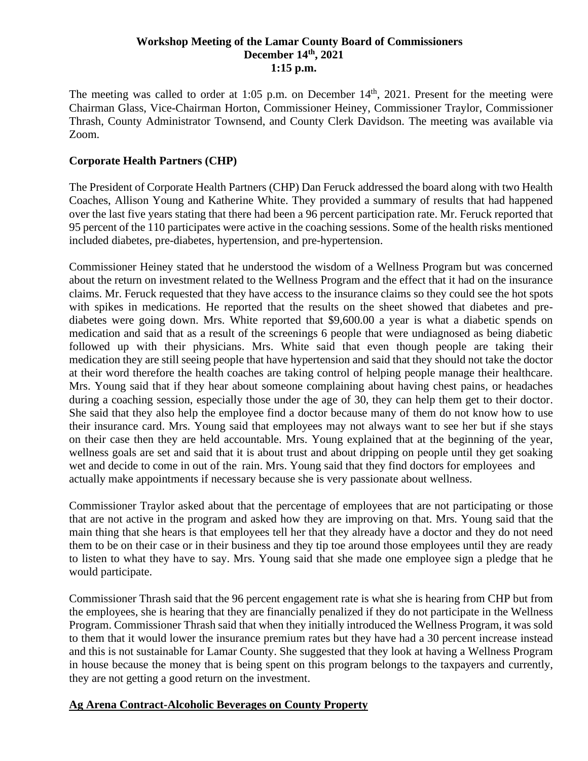### **Workshop Meeting of the Lamar County Board of Commissioners December 14th , 2021 1:15 p.m.**

The meeting was called to order at 1:05 p.m. on December 14<sup>th</sup>, 2021. Present for the meeting were Chairman Glass, Vice-Chairman Horton, Commissioner Heiney, Commissioner Traylor, Commissioner Thrash, County Administrator Townsend, and County Clerk Davidson. The meeting was available via Zoom.

### **Corporate Health Partners (CHP)**

The President of Corporate Health Partners (CHP) Dan Feruck addressed the board along with two Health Coaches, Allison Young and Katherine White. They provided a summary of results that had happened over the last five years stating that there had been a 96 percent participation rate. Mr. Feruck reported that 95 percent of the 110 participates were active in the coaching sessions. Some of the health risks mentioned included diabetes, pre-diabetes, hypertension, and pre-hypertension.

Commissioner Heiney stated that he understood the wisdom of a Wellness Program but was concerned about the return on investment related to the Wellness Program and the effect that it had on the insurance claims. Mr. Feruck requested that they have access to the insurance claims so they could see the hot spots with spikes in medications. He reported that the results on the sheet showed that diabetes and prediabetes were going down. Mrs. White reported that \$9,600.00 a year is what a diabetic spends on medication and said that as a result of the screenings 6 people that were undiagnosed as being diabetic followed up with their physicians. Mrs. White said that even though people are taking their medication they are still seeing people that have hypertension and said that they should not take the doctor at their word therefore the health coaches are taking control of helping people manage their healthcare. Mrs. Young said that if they hear about someone complaining about having chest pains, or headaches during a coaching session, especially those under the age of 30, they can help them get to their doctor. She said that they also help the employee find a doctor because many of them do not know how to use their insurance card. Mrs. Young said that employees may not always want to see her but if she stays on their case then they are held accountable. Mrs. Young explained that at the beginning of the year, wellness goals are set and said that it is about trust and about dripping on people until they get soaking wet and decide to come in out of the rain. Mrs. Young said that they find doctors for employees and actually make appointments if necessary because she is very passionate about wellness.

Commissioner Traylor asked about that the percentage of employees that are not participating or those that are not active in the program and asked how they are improving on that. Mrs. Young said that the main thing that she hears is that employees tell her that they already have a doctor and they do not need them to be on their case or in their business and they tip toe around those employees until they are ready to listen to what they have to say. Mrs. Young said that she made one employee sign a pledge that he would participate.

Commissioner Thrash said that the 96 percent engagement rate is what she is hearing from CHP but from the employees, she is hearing that they are financially penalized if they do not participate in the Wellness Program. Commissioner Thrash said that when they initially introduced the Wellness Program, it was sold to them that it would lower the insurance premium rates but they have had a 30 percent increase instead and this is not sustainable for Lamar County. She suggested that they look at having a Wellness Program in house because the money that is being spent on this program belongs to the taxpayers and currently, they are not getting a good return on the investment.

#### **Ag Arena Contract-Alcoholic Beverages on County Property**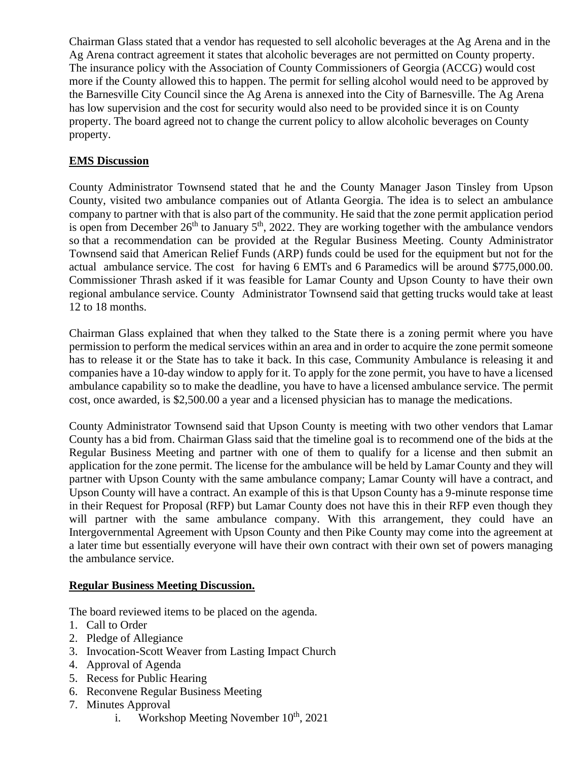Chairman Glass stated that a vendor has requested to sell alcoholic beverages at the Ag Arena and in the Ag Arena contract agreement it states that alcoholic beverages are not permitted on County property. The insurance policy with the Association of County Commissioners of Georgia (ACCG) would cost more if the County allowed this to happen. The permit for selling alcohol would need to be approved by the Barnesville City Council since the Ag Arena is annexed into the City of Barnesville. The Ag Arena has low supervision and the cost for security would also need to be provided since it is on County property. The board agreed not to change the current policy to allow alcoholic beverages on County property.

# **EMS Discussion**

County Administrator Townsend stated that he and the County Manager Jason Tinsley from Upson County, visited two ambulance companies out of Atlanta Georgia. The idea is to select an ambulance company to partner with that is also part of the community. He said that the zone permit application period is open from December  $26<sup>th</sup>$  to January  $5<sup>th</sup>$ , 2022. They are working together with the ambulance vendors so that a recommendation can be provided at the Regular Business Meeting. County Administrator Townsend said that American Relief Funds (ARP) funds could be used for the equipment but not for the actual ambulance service. The cost for having 6 EMTs and 6 Paramedics will be around \$775,000.00. Commissioner Thrash asked if it was feasible for Lamar County and Upson County to have their own regional ambulance service. County Administrator Townsend said that getting trucks would take at least 12 to 18 months.

Chairman Glass explained that when they talked to the State there is a zoning permit where you have permission to perform the medical services within an area and in order to acquire the zone permit someone has to release it or the State has to take it back. In this case, Community Ambulance is releasing it and companies have a 10-day window to apply for it. To apply for the zone permit, you have to have a licensed ambulance capability so to make the deadline, you have to have a licensed ambulance service. The permit cost, once awarded, is \$2,500.00 a year and a licensed physician has to manage the medications.

County Administrator Townsend said that Upson County is meeting with two other vendors that Lamar County has a bid from. Chairman Glass said that the timeline goal is to recommend one of the bids at the Regular Business Meeting and partner with one of them to qualify for a license and then submit an application for the zone permit. The license for the ambulance will be held by Lamar County and they will partner with Upson County with the same ambulance company; Lamar County will have a contract, and Upson County will have a contract. An example of this is that Upson County has a 9-minute response time in their Request for Proposal (RFP) but Lamar County does not have this in their RFP even though they will partner with the same ambulance company. With this arrangement, they could have an Intergovernmental Agreement with Upson County and then Pike County may come into the agreement at a later time but essentially everyone will have their own contract with their own set of powers managing the ambulance service.

## **Regular Business Meeting Discussion.**

The board reviewed items to be placed on the agenda.

- 1. Call to Order
- 2. Pledge of Allegiance
- 3. Invocation-Scott Weaver from Lasting Impact Church
- 4. Approval of Agenda
- 5. Recess for Public Hearing
- 6. Reconvene Regular Business Meeting
- 7. Minutes Approval
	- i. Workshop Meeting November  $10^{th}$ , 2021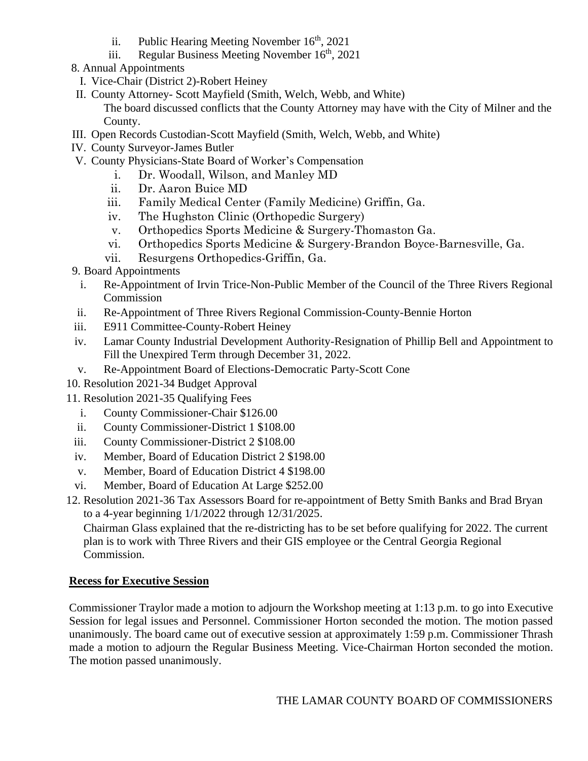- ii. Public Hearing Meeting November  $16<sup>th</sup>$ , 2021
- iii. Regular Business Meeting November  $16<sup>th</sup>$ , 2021
- 8. Annual Appointments
	- I. Vice-Chair (District 2)-Robert Heiney
- II. County Attorney- Scott Mayfield (Smith, Welch, Webb, and White)

The board discussed conflicts that the County Attorney may have with the City of Milner and the County.

- III. Open Records Custodian-Scott Mayfield (Smith, Welch, Webb, and White)
- IV. County Surveyor-James Butler
- V. County Physicians-State Board of Worker's Compensation
	- i. Dr. Woodall, Wilson, and Manley MD
	- ii. Dr. Aaron Buice MD
	- iii. Family Medical Center (Family Medicine) Griffin, Ga.
	- iv. The Hughston Clinic (Orthopedic Surgery)
	- v. Orthopedics Sports Medicine & Surgery-Thomaston Ga.
	- vi. Orthopedics Sports Medicine & Surgery-Brandon Boyce-Barnesville, Ga.
	- vii. Resurgens Orthopedics-Griffin, Ga.

9. Board Appointments

- i. Re-Appointment of Irvin Trice-Non-Public Member of the Council of the Three Rivers Regional Commission
- ii. Re-Appointment of Three Rivers Regional Commission-County-Bennie Horton
- iii. E911 Committee-County-Robert Heiney
- iv. Lamar County Industrial Development Authority-Resignation of Phillip Bell and Appointment to Fill the Unexpired Term through December 31, 2022.
- v. Re-Appointment Board of Elections-Democratic Party-Scott Cone
- 10. Resolution 2021-34 Budget Approval
- 11. Resolution 2021-35 Qualifying Fees
	- i. County Commissioner-Chair \$126.00
	- ii. County Commissioner-District 1 \$108.00
	- iii. County Commissioner-District 2 \$108.00
	- iv. Member, Board of Education District 2 \$198.00
	- v. Member, Board of Education District 4 \$198.00
	- vi. Member, Board of Education At Large \$252.00
- 12. Resolution 2021-36 Tax Assessors Board for re-appointment of Betty Smith Banks and Brad Bryan to a 4-year beginning 1/1/2022 through 12/31/2025.

 Chairman Glass explained that the re-districting has to be set before qualifying for 2022. The current plan is to work with Three Rivers and their GIS employee or the Central Georgia Regional Commission.

## **Recess for Executive Session**

Commissioner Traylor made a motion to adjourn the Workshop meeting at 1:13 p.m. to go into Executive Session for legal issues and Personnel. Commissioner Horton seconded the motion. The motion passed unanimously. The board came out of executive session at approximately 1:59 p.m. Commissioner Thrash made a motion to adjourn the Regular Business Meeting. Vice-Chairman Horton seconded the motion. The motion passed unanimously.